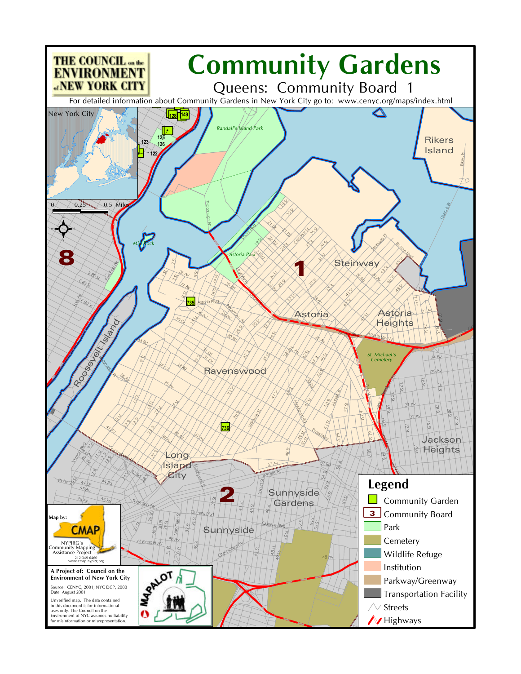